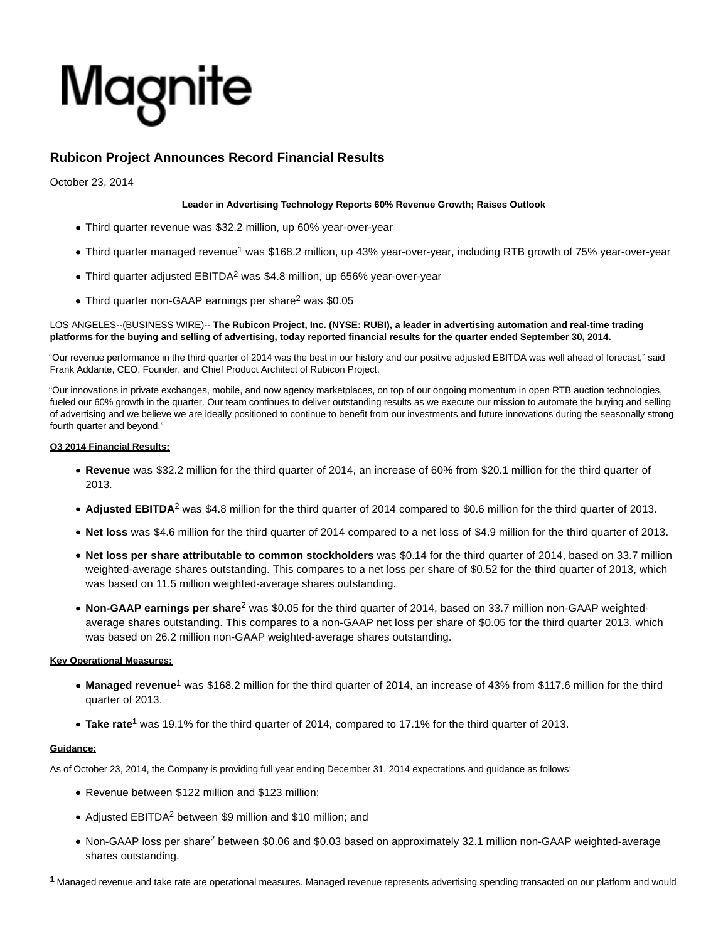# Magnite

# **Rubicon Project Announces Record Financial Results**

October 23, 2014

## **Leader in Advertising Technology Reports 60% Revenue Growth; Raises Outlook**

- Third quarter revenue was \$32.2 million, up 60% year-over-year
- Third quarter managed revenue<sup>1</sup> was \$168.2 million, up 43% year-over-year, including RTB growth of 75% year-over-year
- Third quarter adjusted EBITDA<sup>2</sup> was \$4.8 million, up 656% year-over-year
- Third quarter non-GAAP earnings per share<sup>2</sup> was \$0.05

LOS ANGELES--(BUSINESS WIRE)-- **The Rubicon Project, Inc. (NYSE: RUBI), a leader in advertising automation and real-time trading platforms for the buying and selling of advertising, today reported financial results for the quarter ended September 30, 2014.**

"Our revenue performance in the third quarter of 2014 was the best in our history and our positive adjusted EBITDA was well ahead of forecast," said Frank Addante, CEO, Founder, and Chief Product Architect of Rubicon Project.

"Our innovations in private exchanges, mobile, and now agency marketplaces, on top of our ongoing momentum in open RTB auction technologies, fueled our 60% growth in the quarter. Our team continues to deliver outstanding results as we execute our mission to automate the buying and selling of advertising and we believe we are ideally positioned to continue to benefit from our investments and future innovations during the seasonally strong fourth quarter and beyond."

#### **Q3 2014 Financial Results:**

- **Revenue** was \$32.2 million for the third quarter of 2014, an increase of 60% from \$20.1 million for the third quarter of 2013.
- Adjusted EBITDA<sup>2</sup> was \$4.8 million for the third quarter of 2014 compared to \$0.6 million for the third quarter of 2013.
- **Net loss** was \$4.6 million for the third quarter of 2014 compared to a net loss of \$4.9 million for the third quarter of 2013.
- **Net loss per share attributable to common stockholders** was \$0.14 for the third quarter of 2014, based on 33.7 million weighted-average shares outstanding. This compares to a net loss per share of \$0.52 for the third quarter of 2013, which was based on 11.5 million weighted-average shares outstanding.
- Non-GAAP earnings per share<sup>2</sup> was \$0.05 for the third quarter of 2014, based on 33.7 million non-GAAP weightedaverage shares outstanding. This compares to a non-GAAP net loss per share of \$0.05 for the third quarter 2013, which was based on 26.2 million non-GAAP weighted-average shares outstanding.

# **Key Operational Measures:**

- Managed revenue<sup>1</sup> was \$168.2 million for the third quarter of 2014, an increase of 43% from \$117.6 million for the third quarter of 2013.
- Take rate<sup>1</sup> was 19.1% for the third quarter of 2014, compared to 17.1% for the third quarter of 2013.

#### **Guidance:**

As of October 23, 2014, the Company is providing full year ending December 31, 2014 expectations and guidance as follows:

- Revenue between \$122 million and \$123 million;
- Adjusted EBITDA<sup>2</sup> between \$9 million and \$10 million; and
- Non-GAAP loss per share<sup>2</sup> between \$0.06 and \$0.03 based on approximately 32.1 million non-GAAP weighted-average shares outstanding.

**1** Managed revenue and take rate are operational measures. Managed revenue represents advertising spending transacted on our platform and would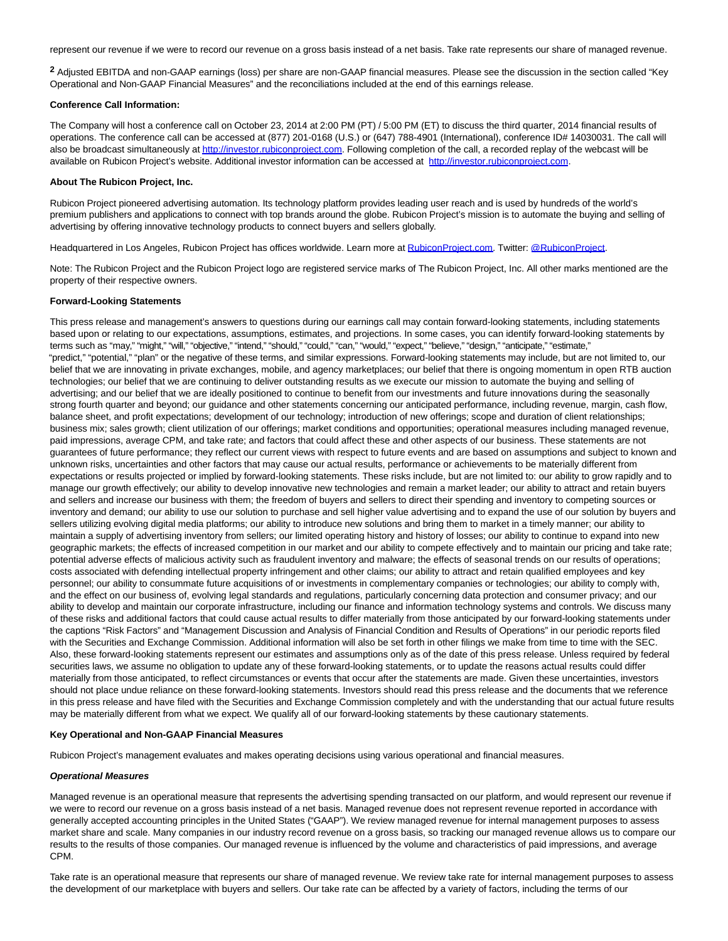represent our revenue if we were to record our revenue on a gross basis instead of a net basis. Take rate represents our share of managed revenue.

**2** Adjusted EBITDA and non-GAAP earnings (loss) per share are non-GAAP financial measures. Please see the discussion in the section called "Key Operational and Non-GAAP Financial Measures" and the reconciliations included at the end of this earnings release.

#### **Conference Call Information:**

The Company will host a conference call on October 23, 2014 at 2:00 PM (PT) / 5:00 PM (ET) to discuss the third quarter, 2014 financial results of operations. The conference call can be accessed at (877) 201-0168 (U.S.) or (647) 788-4901 (International), conference ID# 14030031. The call will also be broadcast simultaneously a[t http://investor.rubiconproject.com.](http://cts.businesswire.com/ct/CT?id=smartlink&url=http%3A%2F%2Finvestor.rubiconproject.com&esheet=50968778&newsitemid=20141023006526&lan=en-US&anchor=http%3A%2F%2Finvestor.rubiconproject.com&index=1&md5=41ad2321b5f8d1eb81476b9e5ecb497b) Following completion of the call, a recorded replay of the webcast will be available on Rubicon Project's website. Additional investor information can be accessed at [http://investor.rubiconproject.com.](http://cts.businesswire.com/ct/CT?id=smartlink&url=http%3A%2F%2Finvestor.rubiconproject.com&esheet=50968778&newsitemid=20141023006526&lan=en-US&anchor=http%3A%2F%2Finvestor.rubiconproject.com&index=2&md5=968600f524bf57e34a812e65e19bdaa7)

#### **About The Rubicon Project, Inc.**

Rubicon Project pioneered advertising automation. Its technology platform provides leading user reach and is used by hundreds of the world's premium publishers and applications to connect with top brands around the globe. Rubicon Project's mission is to automate the buying and selling of advertising by offering innovative technology products to connect buyers and sellers globally.

Headquartered in Los Angeles, Rubicon Project has offices worldwide. Learn more at [RubiconProject.com.](http://cts.businesswire.com/ct/CT?id=smartlink&url=http%3A%2F%2Fwww.rubiconproject.com&esheet=50968778&newsitemid=20141023006526&lan=en-US&anchor=RubiconProject.com&index=3&md5=ff0953b34498aa97423909f556b09f13) Twitter: [@RubiconProject.](http://cts.businesswire.com/ct/CT?id=smartlink&url=https%3A%2F%2Ftwitter.com%2FRubiconProject&esheet=50968778&newsitemid=20141023006526&lan=en-US&anchor=%40RubiconProject&index=4&md5=9788be7c4178c86c327b23d869c1f735)

Note: The Rubicon Project and the Rubicon Project logo are registered service marks of The Rubicon Project, Inc. All other marks mentioned are the property of their respective owners.

#### **Forward-Looking Statements**

This press release and management's answers to questions during our earnings call may contain forward-looking statements, including statements based upon or relating to our expectations, assumptions, estimates, and projections. In some cases, you can identify forward-looking statements by terms such as "may," "might," "will," "objective," "intend," "should," "could," "can," "would," "expect," "believe," "design," "anticipate," "estimate," "predict," "potential," "plan" or the negative of these terms, and similar expressions. Forward-looking statements may include, but are not limited to, our belief that we are innovating in private exchanges, mobile, and agency marketplaces; our belief that there is ongoing momentum in open RTB auction technologies; our belief that we are continuing to deliver outstanding results as we execute our mission to automate the buying and selling of advertising; and our belief that we are ideally positioned to continue to benefit from our investments and future innovations during the seasonally strong fourth quarter and beyond; our guidance and other statements concerning our anticipated performance, including revenue, margin, cash flow, balance sheet, and profit expectations; development of our technology; introduction of new offerings; scope and duration of client relationships; business mix; sales growth; client utilization of our offerings; market conditions and opportunities; operational measures including managed revenue, paid impressions, average CPM, and take rate; and factors that could affect these and other aspects of our business. These statements are not guarantees of future performance; they reflect our current views with respect to future events and are based on assumptions and subject to known and unknown risks, uncertainties and other factors that may cause our actual results, performance or achievements to be materially different from expectations or results projected or implied by forward-looking statements. These risks include, but are not limited to: our ability to grow rapidly and to manage our growth effectively; our ability to develop innovative new technologies and remain a market leader; our ability to attract and retain buyers and sellers and increase our business with them; the freedom of buyers and sellers to direct their spending and inventory to competing sources or inventory and demand; our ability to use our solution to purchase and sell higher value advertising and to expand the use of our solution by buyers and sellers utilizing evolving digital media platforms; our ability to introduce new solutions and bring them to market in a timely manner; our ability to maintain a supply of advertising inventory from sellers; our limited operating history and history of losses; our ability to continue to expand into new geographic markets; the effects of increased competition in our market and our ability to compete effectively and to maintain our pricing and take rate; potential adverse effects of malicious activity such as fraudulent inventory and malware; the effects of seasonal trends on our results of operations; costs associated with defending intellectual property infringement and other claims; our ability to attract and retain qualified employees and key personnel; our ability to consummate future acquisitions of or investments in complementary companies or technologies; our ability to comply with, and the effect on our business of, evolving legal standards and regulations, particularly concerning data protection and consumer privacy; and our ability to develop and maintain our corporate infrastructure, including our finance and information technology systems and controls. We discuss many of these risks and additional factors that could cause actual results to differ materially from those anticipated by our forward-looking statements under the captions "Risk Factors" and "Management Discussion and Analysis of Financial Condition and Results of Operations" in our periodic reports filed with the Securities and Exchange Commission. Additional information will also be set forth in other filings we make from time to time with the SEC. Also, these forward-looking statements represent our estimates and assumptions only as of the date of this press release. Unless required by federal securities laws, we assume no obligation to update any of these forward-looking statements, or to update the reasons actual results could differ materially from those anticipated, to reflect circumstances or events that occur after the statements are made. Given these uncertainties, investors should not place undue reliance on these forward-looking statements. Investors should read this press release and the documents that we reference in this press release and have filed with the Securities and Exchange Commission completely and with the understanding that our actual future results may be materially different from what we expect. We qualify all of our forward-looking statements by these cautionary statements.

#### **Key Operational and Non-GAAP Financial Measures**

Rubicon Project's management evaluates and makes operating decisions using various operational and financial measures.

#### **Operational Measures**

Managed revenue is an operational measure that represents the advertising spending transacted on our platform, and would represent our revenue if we were to record our revenue on a gross basis instead of a net basis. Managed revenue does not represent revenue reported in accordance with generally accepted accounting principles in the United States ("GAAP"). We review managed revenue for internal management purposes to assess market share and scale. Many companies in our industry record revenue on a gross basis, so tracking our managed revenue allows us to compare our results to the results of those companies. Our managed revenue is influenced by the volume and characteristics of paid impressions, and average CPM.

Take rate is an operational measure that represents our share of managed revenue. We review take rate for internal management purposes to assess the development of our marketplace with buyers and sellers. Our take rate can be affected by a variety of factors, including the terms of our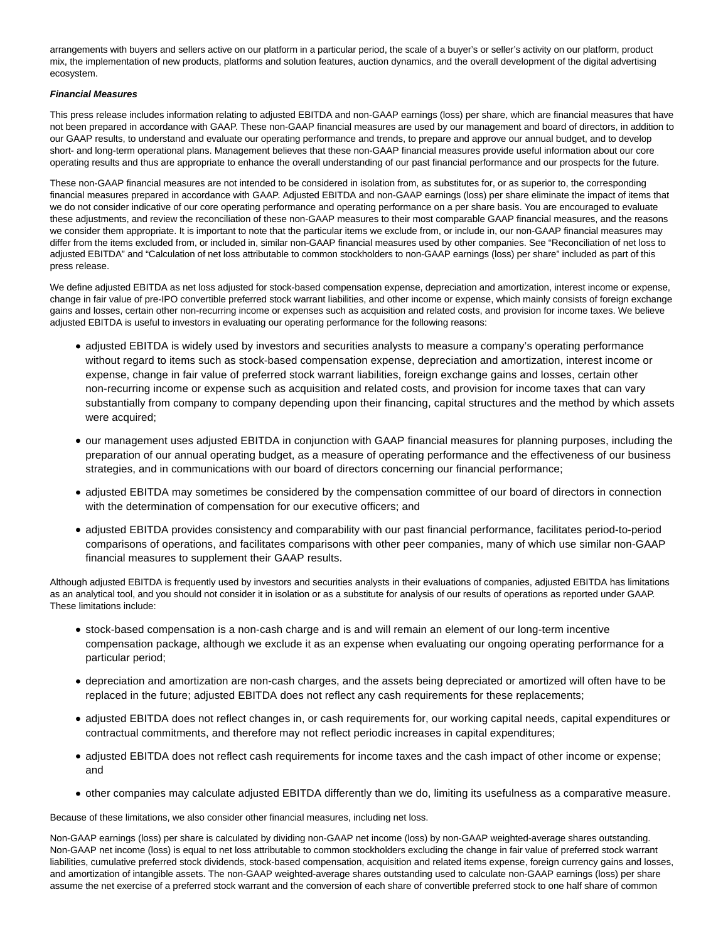arrangements with buyers and sellers active on our platform in a particular period, the scale of a buyer's or seller's activity on our platform, product mix, the implementation of new products, platforms and solution features, auction dynamics, and the overall development of the digital advertising ecosystem.

#### **Financial Measures**

This press release includes information relating to adjusted EBITDA and non-GAAP earnings (loss) per share, which are financial measures that have not been prepared in accordance with GAAP. These non-GAAP financial measures are used by our management and board of directors, in addition to our GAAP results, to understand and evaluate our operating performance and trends, to prepare and approve our annual budget, and to develop short- and long-term operational plans. Management believes that these non-GAAP financial measures provide useful information about our core operating results and thus are appropriate to enhance the overall understanding of our past financial performance and our prospects for the future.

These non-GAAP financial measures are not intended to be considered in isolation from, as substitutes for, or as superior to, the corresponding financial measures prepared in accordance with GAAP. Adjusted EBITDA and non-GAAP earnings (loss) per share eliminate the impact of items that we do not consider indicative of our core operating performance and operating performance on a per share basis. You are encouraged to evaluate these adjustments, and review the reconciliation of these non-GAAP measures to their most comparable GAAP financial measures, and the reasons we consider them appropriate. It is important to note that the particular items we exclude from, or include in, our non-GAAP financial measures may differ from the items excluded from, or included in, similar non-GAAP financial measures used by other companies. See "Reconciliation of net loss to adjusted EBITDA" and "Calculation of net loss attributable to common stockholders to non-GAAP earnings (loss) per share" included as part of this press release.

We define adjusted EBITDA as net loss adjusted for stock-based compensation expense, depreciation and amortization, interest income or expense, change in fair value of pre-IPO convertible preferred stock warrant liabilities, and other income or expense, which mainly consists of foreign exchange gains and losses, certain other non-recurring income or expenses such as acquisition and related costs, and provision for income taxes. We believe adjusted EBITDA is useful to investors in evaluating our operating performance for the following reasons:

- adjusted EBITDA is widely used by investors and securities analysts to measure a company's operating performance without regard to items such as stock-based compensation expense, depreciation and amortization, interest income or expense, change in fair value of preferred stock warrant liabilities, foreign exchange gains and losses, certain other non-recurring income or expense such as acquisition and related costs, and provision for income taxes that can vary substantially from company to company depending upon their financing, capital structures and the method by which assets were acquired;
- our management uses adjusted EBITDA in conjunction with GAAP financial measures for planning purposes, including the preparation of our annual operating budget, as a measure of operating performance and the effectiveness of our business strategies, and in communications with our board of directors concerning our financial performance;
- adjusted EBITDA may sometimes be considered by the compensation committee of our board of directors in connection with the determination of compensation for our executive officers; and
- adjusted EBITDA provides consistency and comparability with our past financial performance, facilitates period-to-period comparisons of operations, and facilitates comparisons with other peer companies, many of which use similar non-GAAP financial measures to supplement their GAAP results.

Although adjusted EBITDA is frequently used by investors and securities analysts in their evaluations of companies, adjusted EBITDA has limitations as an analytical tool, and you should not consider it in isolation or as a substitute for analysis of our results of operations as reported under GAAP. These limitations include:

- stock-based compensation is a non-cash charge and is and will remain an element of our long-term incentive compensation package, although we exclude it as an expense when evaluating our ongoing operating performance for a particular period;
- depreciation and amortization are non-cash charges, and the assets being depreciated or amortized will often have to be replaced in the future; adjusted EBITDA does not reflect any cash requirements for these replacements;
- adjusted EBITDA does not reflect changes in, or cash requirements for, our working capital needs, capital expenditures or contractual commitments, and therefore may not reflect periodic increases in capital expenditures;
- adjusted EBITDA does not reflect cash requirements for income taxes and the cash impact of other income or expense; and
- other companies may calculate adjusted EBITDA differently than we do, limiting its usefulness as a comparative measure.

Because of these limitations, we also consider other financial measures, including net loss.

Non-GAAP earnings (loss) per share is calculated by dividing non-GAAP net income (loss) by non-GAAP weighted-average shares outstanding. Non-GAAP net income (loss) is equal to net loss attributable to common stockholders excluding the change in fair value of preferred stock warrant liabilities, cumulative preferred stock dividends, stock-based compensation, acquisition and related items expense, foreign currency gains and losses, and amortization of intangible assets. The non-GAAP weighted-average shares outstanding used to calculate non-GAAP earnings (loss) per share assume the net exercise of a preferred stock warrant and the conversion of each share of convertible preferred stock to one half share of common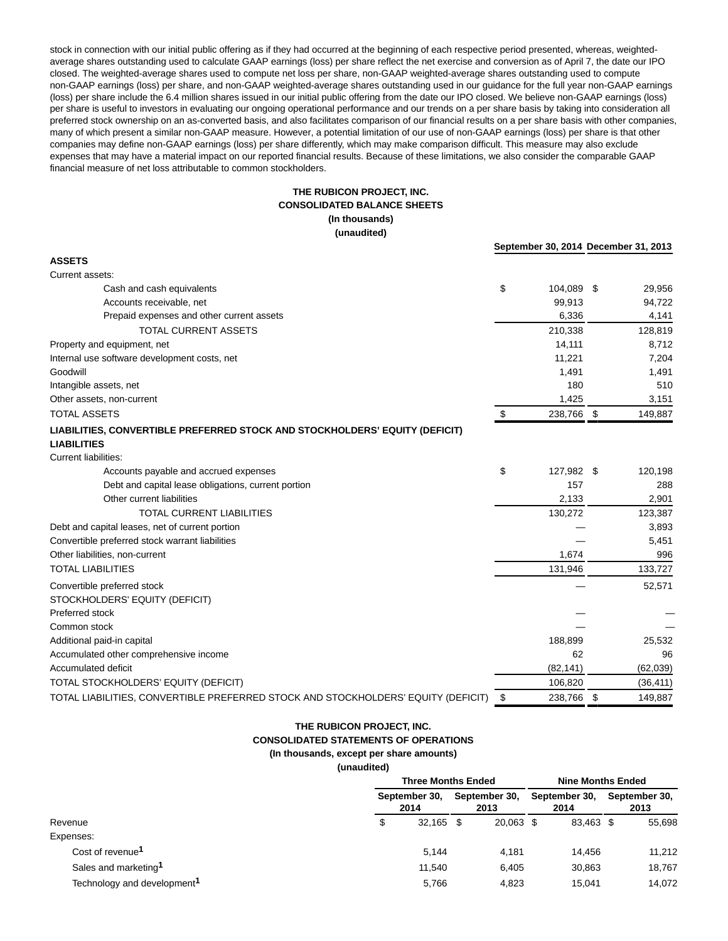stock in connection with our initial public offering as if they had occurred at the beginning of each respective period presented, whereas, weightedaverage shares outstanding used to calculate GAAP earnings (loss) per share reflect the net exercise and conversion as of April 7, the date our IPO closed. The weighted-average shares used to compute net loss per share, non-GAAP weighted-average shares outstanding used to compute non-GAAP earnings (loss) per share, and non-GAAP weighted-average shares outstanding used in our guidance for the full year non-GAAP earnings (loss) per share include the 6.4 million shares issued in our initial public offering from the date our IPO closed. We believe non-GAAP earnings (loss) per share is useful to investors in evaluating our ongoing operational performance and our trends on a per share basis by taking into consideration all preferred stock ownership on an as-converted basis, and also facilitates comparison of our financial results on a per share basis with other companies, many of which present a similar non-GAAP measure. However, a potential limitation of our use of non-GAAP earnings (loss) per share is that other companies may define non-GAAP earnings (loss) per share differently, which may make comparison difficult. This measure may also exclude expenses that may have a material impact on our reported financial results. Because of these limitations, we also consider the comparable GAAP financial measure of net loss attributable to common stockholders.

# **THE RUBICON PROJECT, INC. CONSOLIDATED BALANCE SHEETS (In thousands) (unaudited)**

|                                                                                   |      | September 30, 2014 December 31, 2013 |               |
|-----------------------------------------------------------------------------------|------|--------------------------------------|---------------|
| <b>ASSETS</b>                                                                     |      |                                      |               |
| Current assets:                                                                   |      |                                      |               |
| Cash and cash equivalents                                                         | \$   | 104,089 \$                           | 29,956        |
| Accounts receivable, net                                                          |      | 99.913                               | 94,722        |
| Prepaid expenses and other current assets                                         |      | 6,336                                | 4,141         |
| <b>TOTAL CURRENT ASSETS</b>                                                       |      | 210,338                              | 128,819       |
| Property and equipment, net                                                       |      | 14,111                               | 8,712         |
| Internal use software development costs, net                                      |      | 11,221                               | 7,204         |
| Goodwill                                                                          |      | 1,491                                | 1,491         |
| Intangible assets, net                                                            |      | 180                                  | 510           |
| Other assets, non-current                                                         |      | 1,425                                | 3,151         |
| <b>TOTAL ASSETS</b>                                                               | \$   | 238,766 \$                           | 149,887       |
| LIABILITIES, CONVERTIBLE PREFERRED STOCK AND STOCKHOLDERS' EQUITY (DEFICIT)       |      |                                      |               |
| <b>LIABILITIES</b>                                                                |      |                                      |               |
| <b>Current liabilities:</b>                                                       |      |                                      |               |
| Accounts payable and accrued expenses                                             | \$   | 127,982 \$                           | 120,198       |
| Debt and capital lease obligations, current portion                               |      | 157                                  | 288           |
| Other current liabilities                                                         |      | 2.133                                | 2,901         |
| <b>TOTAL CURRENT LIABILITIES</b>                                                  |      | 130,272                              | 123,387       |
| Debt and capital leases, net of current portion                                   |      |                                      | 3,893         |
| Convertible preferred stock warrant liabilities                                   |      |                                      | 5,451         |
| Other liabilities, non-current                                                    |      | 1,674                                | 996           |
| <b>TOTAL LIABILITIES</b>                                                          |      | 131,946                              | 133,727       |
| Convertible preferred stock                                                       |      |                                      | 52,571        |
| STOCKHOLDERS' EQUITY (DEFICIT)                                                    |      |                                      |               |
| Preferred stock                                                                   |      |                                      |               |
| Common stock                                                                      |      |                                      |               |
| Additional paid-in capital                                                        |      | 188,899                              | 25,532        |
| Accumulated other comprehensive income                                            |      | 62                                   | 96            |
| Accumulated deficit                                                               |      | (82, 141)                            | (62, 039)     |
| TOTAL STOCKHOLDERS' EQUITY (DEFICIT)                                              |      | 106,820                              | (36, 411)     |
| TOTAL LIABILITIES, CONVERTIBLE PREFERRED STOCK AND STOCKHOLDERS' EQUITY (DEFICIT) | - \$ | 238.766                              | \$<br>149,887 |

# **THE RUBICON PROJECT, INC.**

**CONSOLIDATED STATEMENTS OF OPERATIONS**

#### **(In thousands, except per share amounts)**

**(unaudited)**

|                                         |    | <b>Three Months Ended</b> |                       | <b>Nine Months Ended</b> |                       |                       |  |  |  |
|-----------------------------------------|----|---------------------------|-----------------------|--------------------------|-----------------------|-----------------------|--|--|--|
|                                         |    | September 30.<br>2014     | September 30.<br>2013 |                          | September 30,<br>2014 | September 30.<br>2013 |  |  |  |
| Revenue                                 | \$ | $32,165$ \$               |                       | 20,063 \$                | 83,463 \$             | 55,698                |  |  |  |
| Expenses:                               |    |                           |                       |                          |                       |                       |  |  |  |
| Cost of revenue <sup>1</sup>            |    | 5.144                     |                       | 4.181                    | 14.456                | 11,212                |  |  |  |
| Sales and marketing <sup>1</sup>        |    | 11.540                    |                       | 6.405                    | 30,863                | 18,767                |  |  |  |
| Technology and development <sup>1</sup> |    | 5.766                     |                       | 4.823                    | 15.041                | 14.072                |  |  |  |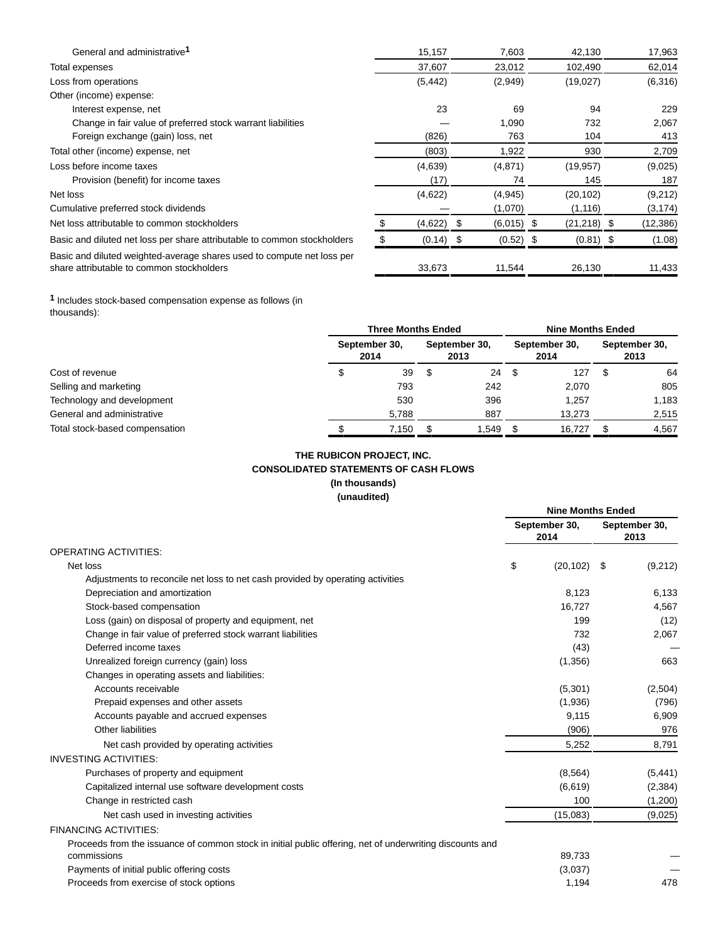| General and administrative <sup>1</sup>                                                                             |     | 15,157       | 7,603        | 42,130        | 17,963    |
|---------------------------------------------------------------------------------------------------------------------|-----|--------------|--------------|---------------|-----------|
| Total expenses                                                                                                      |     | 37,607       | 23,012       | 102,490       | 62,014    |
| Loss from operations                                                                                                |     | (5, 442)     | (2,949)      | (19,027)      | (6,316)   |
| Other (income) expense:                                                                                             |     |              |              |               |           |
| Interest expense, net                                                                                               |     | 23           | 69           | 94            | 229       |
| Change in fair value of preferred stock warrant liabilities                                                         |     |              | 1,090        | 732           | 2,067     |
| Foreign exchange (gain) loss, net                                                                                   |     | (826)        | 763          | 104           | 413       |
| Total other (income) expense, net                                                                                   |     | (803)        | 1,922        | 930           | 2,709     |
| Loss before income taxes                                                                                            |     | (4,639)      | (4,871)      | (19, 957)     | (9,025)   |
| Provision (benefit) for income taxes                                                                                |     | (17)         | 74           | 145           | 187       |
| Net loss                                                                                                            |     | (4,622)      | (4,945)      | (20, 102)     | (9,212)   |
| Cumulative preferred stock dividends                                                                                |     |              | (1,070)      | (1, 116)      | (3, 174)  |
| Net loss attributable to common stockholders                                                                        |     | $(4,622)$ \$ | $(6,015)$ \$ | $(21,218)$ \$ | (12, 386) |
| Basic and diluted net loss per share attributable to common stockholders                                            | \$. | $(0.14)$ \$  | $(0.52)$ \$  | $(0.81)$ \$   | (1.08)    |
| Basic and diluted weighted-average shares used to compute net loss per<br>share attributable to common stockholders |     | 33,673       | 11,544       | 26,130        | 11,433    |

**1** Includes stock-based compensation expense as follows (in thousands):

|                                |                       | <b>Three Months Ended</b> |                       |       |                       |                       | <b>Nine Months Ended</b> |       |  |  |  |
|--------------------------------|-----------------------|---------------------------|-----------------------|-------|-----------------------|-----------------------|--------------------------|-------|--|--|--|
| Cost of revenue                | September 30,<br>2014 |                           | September 30,<br>2013 |       | September 30,<br>2014 | September 30,<br>2013 |                          |       |  |  |  |
|                                |                       | 39                        |                       | 24    | \$                    | 127                   |                          | 64    |  |  |  |
| Selling and marketing          |                       | 793                       |                       | 242   |                       | 2.070                 |                          | 805   |  |  |  |
| Technology and development     |                       | 530                       |                       | 396   |                       | 1.257                 |                          | 1,183 |  |  |  |
| General and administrative     |                       | 5,788                     |                       | 887   |                       | 13.273                |                          | 2,515 |  |  |  |
| Total stock-based compensation |                       | 7,150                     |                       | 1,549 |                       | 16.727                |                          | 4,567 |  |  |  |

# **THE RUBICON PROJECT, INC. CONSOLIDATED STATEMENTS OF CASH FLOWS (In thousands)**

**(unaudited)**

|                                                                                                          | <b>Nine Months Ended</b> |      |                       |
|----------------------------------------------------------------------------------------------------------|--------------------------|------|-----------------------|
|                                                                                                          | September 30,<br>2014    |      | September 30,<br>2013 |
| <b>OPERATING ACTIVITIES:</b>                                                                             |                          |      |                       |
| Net loss                                                                                                 | \$<br>(20, 102)          | - \$ | (9,212)               |
| Adjustments to reconcile net loss to net cash provided by operating activities                           |                          |      |                       |
| Depreciation and amortization                                                                            | 8.123                    |      | 6,133                 |
| Stock-based compensation                                                                                 | 16,727                   |      | 4,567                 |
| Loss (gain) on disposal of property and equipment, net                                                   | 199                      |      | (12)                  |
| Change in fair value of preferred stock warrant liabilities                                              | 732                      |      | 2,067                 |
| Deferred income taxes                                                                                    | (43)                     |      |                       |
| Unrealized foreign currency (gain) loss                                                                  | (1,356)                  |      | 663                   |
| Changes in operating assets and liabilities:                                                             |                          |      |                       |
| Accounts receivable                                                                                      | (5,301)                  |      | (2,504)               |
| Prepaid expenses and other assets                                                                        | (1,936)                  |      | (796)                 |
| Accounts payable and accrued expenses                                                                    | 9,115                    |      | 6,909                 |
| Other liabilities                                                                                        | (906)                    |      | 976                   |
| Net cash provided by operating activities                                                                | 5,252                    |      | 8,791                 |
| <b>INVESTING ACTIVITIES:</b>                                                                             |                          |      |                       |
| Purchases of property and equipment                                                                      | (8, 564)                 |      | (5, 441)              |
| Capitalized internal use software development costs                                                      | (6,619)                  |      | (2,384)               |
| Change in restricted cash                                                                                | 100                      |      | (1,200)               |
| Net cash used in investing activities                                                                    | (15,083)                 |      | (9,025)               |
| <b>FINANCING ACTIVITIES:</b>                                                                             |                          |      |                       |
| Proceeds from the issuance of common stock in initial public offering, net of underwriting discounts and |                          |      |                       |
| commissions                                                                                              | 89,733                   |      |                       |
| Payments of initial public offering costs                                                                | (3,037)                  |      |                       |
| Proceeds from exercise of stock options                                                                  | 1,194                    |      | 478                   |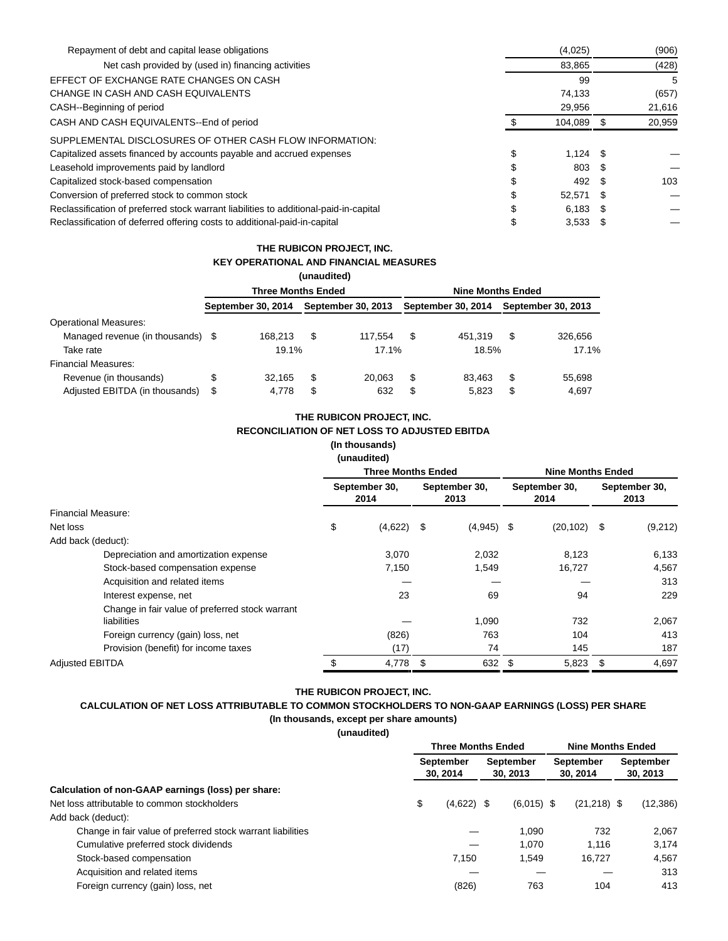| Repayment of debt and capital lease obligations                                       | (4,025)    |      | (906)  |
|---------------------------------------------------------------------------------------|------------|------|--------|
| Net cash provided by (used in) financing activities                                   | 83,865     |      | (428)  |
| EFFECT OF EXCHANGE RATE CHANGES ON CASH                                               | 99         |      | 5      |
| CHANGE IN CASH AND CASH EQUIVALENTS                                                   | 74.133     |      | (657)  |
| CASH--Beginning of period                                                             | 29,956     |      | 21,616 |
| CASH AND CASH EQUIVALENTS--End of period                                              | 104,089    | - \$ | 20,959 |
| SUPPLEMENTAL DISCLOSURES OF OTHER CASH FLOW INFORMATION:                              |            |      |        |
| Capitalized assets financed by accounts payable and accrued expenses                  | $1.124$ \$ |      |        |
| Leasehold improvements paid by landlord                                               | 803        | - \$ |        |
| Capitalized stock-based compensation                                                  | 492        |      | 103    |
| Conversion of preferred stock to common stock                                         | 52.571 \$  |      |        |
| Reclassification of preferred stock warrant liabilities to additional-paid-in-capital | $6.183$ \$ |      |        |
| Reclassification of deferred offering costs to additional-paid-in-capital             | $3,533$ \$ |      |        |

# **THE RUBICON PROJECT, INC. KEY OPERATIONAL AND FINANCIAL MEASURES**

|                                   |                           |                    | (unaudited) |                           |                          |                    |   |                    |  |  |  |  |
|-----------------------------------|---------------------------|--------------------|-------------|---------------------------|--------------------------|--------------------|---|--------------------|--|--|--|--|
|                                   | <b>Three Months Ended</b> |                    |             |                           | <b>Nine Months Ended</b> |                    |   |                    |  |  |  |  |
|                                   |                           | September 30, 2014 |             | <b>September 30, 2013</b> |                          | September 30, 2014 |   | September 30, 2013 |  |  |  |  |
| <b>Operational Measures:</b>      |                           |                    |             |                           |                          |                    |   |                    |  |  |  |  |
| Managed revenue (in thousands) \$ |                           | 168.213            | S           | 117.554                   | S                        | 451.319            | S | 326.656            |  |  |  |  |
| Take rate                         |                           | 19.1%              |             | 17.1%                     |                          | 18.5%              |   | 17.1%              |  |  |  |  |
| Financial Measures:               |                           |                    |             |                           |                          |                    |   |                    |  |  |  |  |
| Revenue (in thousands)            | S                         | 32.165             | S           | 20.063                    | S                        | 83.463             | S | 55,698             |  |  |  |  |
| Adjusted EBITDA (in thousands)    | S                         | 4.778              |             | 632                       | J                        | 5,823              | S | 4.697              |  |  |  |  |

# **THE RUBICON PROJECT, INC. RECONCILIATION OF NET LOSS TO ADJUSTED EBITDA**

**(In thousands) (unaudited)**

|                                                                |                           | unauun <del>c</del> u)                         |    |              |                          |                       |      |                       |  |
|----------------------------------------------------------------|---------------------------|------------------------------------------------|----|--------------|--------------------------|-----------------------|------|-----------------------|--|
|                                                                | <b>Three Months Ended</b> |                                                |    |              | <b>Nine Months Ended</b> |                       |      |                       |  |
|                                                                |                           | September 30,<br>September 30,<br>2014<br>2013 |    |              |                          | September 30,<br>2014 |      | September 30,<br>2013 |  |
| Financial Measure:                                             |                           |                                                |    |              |                          |                       |      |                       |  |
| Net loss                                                       | \$                        | (4,622)                                        | \$ | $(4,945)$ \$ |                          | (20, 102)             | - \$ | (9,212)               |  |
| Add back (deduct):                                             |                           |                                                |    |              |                          |                       |      |                       |  |
| Depreciation and amortization expense                          |                           | 3,070                                          |    | 2,032        |                          | 8,123                 |      | 6,133                 |  |
| Stock-based compensation expense                               |                           | 7,150                                          |    | 1,549        |                          | 16,727                |      | 4,567                 |  |
| Acquisition and related items                                  |                           |                                                |    |              |                          |                       |      | 313                   |  |
| Interest expense, net                                          |                           | 23                                             |    | 69           |                          | 94                    |      | 229                   |  |
| Change in fair value of preferred stock warrant<br>liabilities |                           |                                                |    | 1,090        |                          | 732                   |      | 2,067                 |  |
| Foreign currency (gain) loss, net                              |                           | (826)                                          |    | 763          |                          | 104                   |      | 413                   |  |
| Provision (benefit) for income taxes                           |                           | (17)                                           |    | 74           |                          | 145                   |      | 187                   |  |
| <b>Adjusted EBITDA</b>                                         | \$                        | 4,778                                          | S  | 632          | - \$                     | 5,823                 | \$   | 4,697                 |  |

# **THE RUBICON PROJECT, INC.**

# **CALCULATION OF NET LOSS ATTRIBUTABLE TO COMMON STOCKHOLDERS TO NON-GAAP EARNINGS (LOSS) PER SHARE (In thousands, except per share amounts)**

**(unaudited)**

|                                                             | <b>Three Months Ended</b>    |              |                       |              | <b>Nine Months Ended</b> |               |                              |           |
|-------------------------------------------------------------|------------------------------|--------------|-----------------------|--------------|--------------------------|---------------|------------------------------|-----------|
|                                                             | <b>September</b><br>30, 2014 |              | September<br>30, 2013 |              | September<br>30, 2014    |               | <b>September</b><br>30, 2013 |           |
| Calculation of non-GAAP earnings (loss) per share:          |                              |              |                       |              |                          |               |                              |           |
| Net loss attributable to common stockholders                | \$                           | $(4,622)$ \$ |                       | $(6.015)$ \$ |                          | $(21,218)$ \$ |                              | (12, 386) |
| Add back (deduct):                                          |                              |              |                       |              |                          |               |                              |           |
| Change in fair value of preferred stock warrant liabilities |                              |              |                       | 1.090        |                          | 732           |                              | 2.067     |
| Cumulative preferred stock dividends                        |                              |              |                       | 1.070        |                          | 1.116         |                              | 3,174     |
| Stock-based compensation                                    |                              | 7.150        |                       | 1.549        |                          | 16.727        |                              | 4,567     |
| Acquisition and related items                               |                              |              |                       |              |                          |               |                              | 313       |
| Foreign currency (gain) loss, net                           |                              | (826)        |                       | 763          |                          | 104           |                              | 413       |